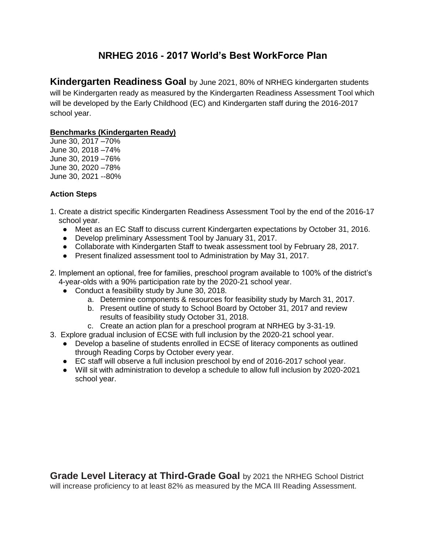# **NRHEG 2016 - 2017 World's Best WorkForce Plan**

**Kindergarten Readiness Goal** by June 2021, 80% of NRHEG kindergarten students will be Kindergarten ready as measured by the Kindergarten Readiness Assessment Tool which will be developed by the Early Childhood (EC) and Kindergarten staff during the 2016-2017 school year.

### **Benchmarks (Kindergarten Ready)**

June 30, 2017 –70% June 30, 2018 –74% June 30, 2019 –76% June 30, 2020 –78% June 30, 2021 --80%

### **Action Steps**

- 1. Create a district specific Kindergarten Readiness Assessment Tool by the end of the 2016-17 school year.
	- Meet as an EC Staff to discuss current Kindergarten expectations by October 31, 2016.
	- Develop preliminary Assessment Tool by January 31, 2017.
	- Collaborate with Kindergarten Staff to tweak assessment tool by February 28, 2017.
	- Present finalized assessment tool to Administration by May 31, 2017.
- 2. Implement an optional, free for families, preschool program available to 100% of the district's 4-year-olds with a 90% participation rate by the 2020-21 school year.
	- Conduct a feasibility study by June 30, 2018.
		- a. Determine components & resources for feasibility study by March 31, 2017.
		- b. Present outline of study to School Board by October 31, 2017 and review results of feasibility study October 31, 2018.
		- c. Create an action plan for a preschool program at NRHEG by 3-31-19.
- 3. Explore gradual inclusion of ECSE with full inclusion by the 2020-21 school year.
	- Develop a baseline of students enrolled in ECSE of literacy components as outlined through Reading Corps by October every year.
	- EC staff will observe a full inclusion preschool by end of 2016-2017 school year.
	- Will sit with administration to develop a schedule to allow full inclusion by 2020-2021 school year.

**Grade Level Literacy at Third-Grade Goal** by 2021 the NRHEG School District will increase proficiency to at least 82% as measured by the MCA III Reading Assessment.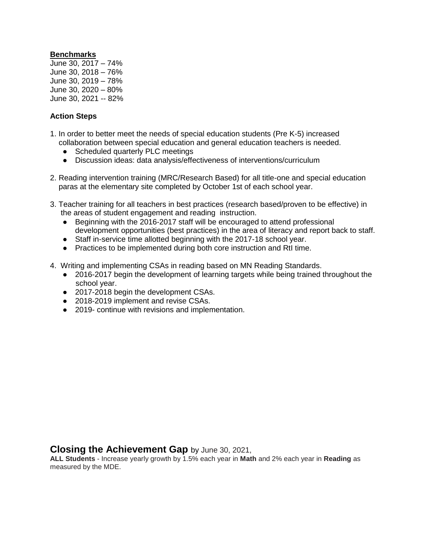### **Benchmarks**

June 30, 2017 – 74% June 30, 2018 – 76% June 30, 2019 – 78% June 30, 2020 – 80% June 30, 2021 -- 82%

### **Action Steps**

- 1. In order to better meet the needs of special education students (Pre K-5) increased collaboration between special education and general education teachers is needed.
	- Scheduled quarterly PLC meetings
	- Discussion ideas: data analysis/effectiveness of interventions/curriculum
- 2. Reading intervention training (MRC/Research Based) for all title-one and special education paras at the elementary site completed by October 1st of each school year.
- 3. Teacher training for all teachers in best practices (research based/proven to be effective) in the areas of student engagement and reading instruction.
	- Beginning with the 2016-2017 staff will be encouraged to attend professional development opportunities (best practices) in the area of literacy and report back to staff.
	- Staff in-service time allotted beginning with the 2017-18 school year.
	- Practices to be implemented during both core instruction and RtI time.
- 4. Writing and implementing CSAs in reading based on MN Reading Standards.
	- 2016-2017 begin the development of learning targets while being trained throughout the school year.
	- 2017-2018 begin the development CSAs.
	- 2018-2019 implement and revise CSAs.
	- 2019- continue with revisions and implementation.

### **Closing the Achievement Gap** by June 30, 2021,

**ALL Students** - Increase yearly growth by 1.5% each year in **Math** and 2% each year in **Reading** as measured by the MDE.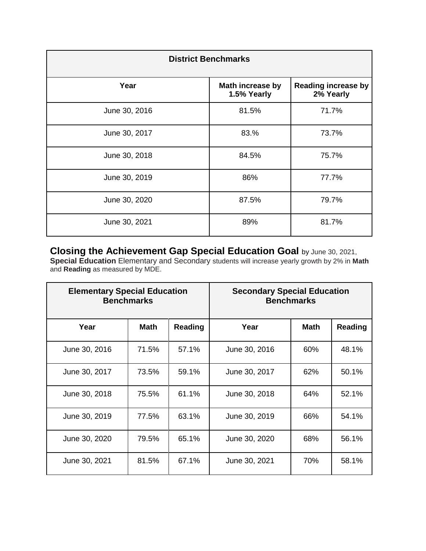| <b>District Benchmarks</b> |                                 |                                         |  |  |  |
|----------------------------|---------------------------------|-----------------------------------------|--|--|--|
| Year                       | Math increase by<br>1.5% Yearly | <b>Reading increase by</b><br>2% Yearly |  |  |  |
| June 30, 2016              | 81.5%                           | 71.7%                                   |  |  |  |
| June 30, 2017              | 83.%                            | 73.7%                                   |  |  |  |
| June 30, 2018              | 84.5%                           | 75.7%                                   |  |  |  |
| June 30, 2019              | 86%                             | 77.7%                                   |  |  |  |
| June 30, 2020              | 87.5%                           | 79.7%                                   |  |  |  |
| June 30, 2021              | 89%                             | 81.7%                                   |  |  |  |

**Closing the Achievement Gap Special Education Goal** by June 30, 2021, **Special Education** Elementary and Secondary students will increase yearly growth by 2% in **Math**  and **Reading** as measured by MDE.

| <b>Elementary Special Education</b><br><b>Benchmarks</b> |       | <b>Secondary Special Education</b><br><b>Benchmarks</b> |               |             |         |
|----------------------------------------------------------|-------|---------------------------------------------------------|---------------|-------------|---------|
| Year                                                     | Math  | <b>Reading</b>                                          | Year          | <b>Math</b> | Reading |
| June 30, 2016                                            | 71.5% | 57.1%                                                   | June 30, 2016 | 60%         | 48.1%   |
| June 30, 2017                                            | 73.5% | 59.1%                                                   | June 30, 2017 | 62%         | 50.1%   |
| June 30, 2018                                            | 75.5% | 61.1%                                                   | June 30, 2018 | 64%         | 52.1%   |
| June 30, 2019                                            | 77.5% | 63.1%                                                   | June 30, 2019 | 66%         | 54.1%   |
| June 30, 2020                                            | 79.5% | 65.1%                                                   | June 30, 2020 | 68%         | 56.1%   |
| June 30, 2021                                            | 81.5% | 67.1%                                                   | June 30, 2021 | 70%         | 58.1%   |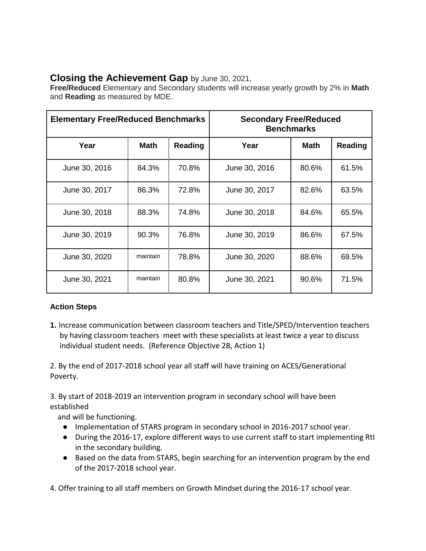# **Closing the Achievement Gap** by June 30, 2021,

**Free/Reduced** Elementary and Secondary students will increase yearly growth by 2% in **Math** and **Reading** as measured by MDE.

| <b>Elementary Free/Reduced Benchmarks</b> |             | <b>Secondary Free/Reduced</b><br><b>Benchmarks</b> |               |             |         |
|-------------------------------------------|-------------|----------------------------------------------------|---------------|-------------|---------|
| Year                                      | <b>Math</b> | Reading                                            | Year          | <b>Math</b> | Reading |
| June 30, 2016                             | 84.3%       | 70.8%                                              | June 30, 2016 | 80.6%       | 61.5%   |
| June 30, 2017                             | 86.3%       | 72.8%                                              | June 30, 2017 | 82.6%       | 63.5%   |
| June 30, 2018                             | 88.3%       | 74.8%                                              | June 30, 2018 | 84.6%       | 65.5%   |
| June 30, 2019                             | 90.3%       | 76.8%                                              | June 30, 2019 | 86.6%       | 67.5%   |
| June 30, 2020                             | maintain    | 78.8%                                              | June 30, 2020 | 88.6%       | 69.5%   |
| June 30, 2021                             | maintain    | 80.8%                                              | June 30, 2021 | 90.6%       | 71.5%   |

# **Action Steps**

**1.** Increase communication between classroom teachers and Title/SPED/Intervention teachers by having classroom teachers meet with these specialists at least twice a year to discuss individual student needs. (Reference Objective 2B, Action 1)

2. By the end of 2017-2018 school year all staff will have training on ACES/Generational Poverty.

3. By start of 2018-2019 an intervention program in secondary school will have been established

and will be functioning.

- Implementation of STARS program in secondary school in 2016-2017 school year.
- During the 2016-17, explore different ways to use current staff to start implementing RtI in the secondary building.
- Based on the data from STARS, begin searching for an intervention program by the end of the 2017-2018 school year.

4. Offer training to all staff members on Growth Mindset during the 2016-17 school year.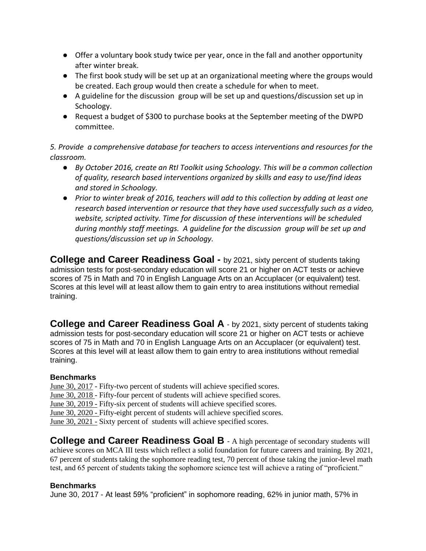- Offer a voluntary book study twice per year, once in the fall and another opportunity after winter break.
- The first book study will be set up at an organizational meeting where the groups would be created. Each group would then create a schedule for when to meet.
- A guideline for the discussion group will be set up and questions/discussion set up in Schoology.
- Request a budget of \$300 to purchase books at the September meeting of the DWPD committee.

*5. Provide a comprehensive database for teachers to access interventions and resources for the classroom.*

- *By October 2016, create an RtI Toolkit using Schoology. This will be a common collection of quality, research based interventions organized by skills and easy to use/find ideas and stored in Schoology.*
- *Prior to winter break of 2016, teachers will add to this collection by adding at least one research based intervention or resource that they have used successfully such as a video, website, scripted activity. Time for discussion of these interventions will be scheduled during monthly staff meetings. A guideline for the discussion group will be set up and questions/discussion set up in Schoology.*

**College and Career Readiness Goal -** by 2021, sixty percent of students taking admission tests for post-secondary education will score 21 or higher on ACT tests or achieve scores of 75 in Math and 70 in English Language Arts on an Accuplacer (or equivalent) test. Scores at this level will at least allow them to gain entry to area institutions without remedial training.

**College and Career Readiness Goal A** - by 2021, sixty percent of students taking admission tests for post-secondary education will score 21 or higher on ACT tests or achieve scores of 75 in Math and 70 in English Language Arts on an Accuplacer (or equivalent) test. Scores at this level will at least allow them to gain entry to area institutions without remedial training.

## **Benchmarks**

June 30, 2017 - Fifty-two percent of students will achieve specified scores.

June 30, 2018 - Fifty-four percent of students will achieve specified scores.

June 30, 2019 - Fifty-six percent of students will achieve specified scores.

June 30, 2020 - Fifty-eight percent of students will achieve specified scores.

June 30, 2021 - Sixty percent of students will achieve specified scores.

**College and Career Readiness Goal B** - A high percentage of secondary students will achieve scores on MCA III tests which reflect a solid foundation for future careers and training. By 2021, 67 percent of students taking the sophomore reading test, 70 percent of those taking the junior-level math test, and 65 percent of students taking the sophomore science test will achieve a rating of "proficient."

## **Benchmarks**

June 30, 2017 - At least 59% "proficient" in sophomore reading, 62% in junior math, 57% in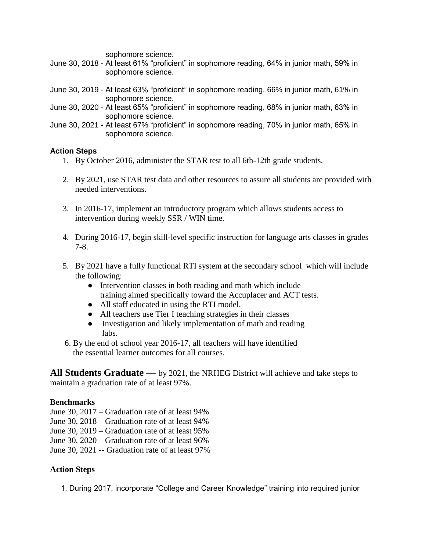sophomore science.

- June 30, 2018 At least 61% "proficient" in sophomore reading, 64% in junior math, 59% in sophomore science.
- June 30, 2019 At least 63% "proficient" in sophomore reading, 66% in junior math, 61% in sophomore science.
- June 30, 2020 At least 65% "proficient" in sophomore reading, 68% in junior math, 63% in sophomore science.
- June 30, 2021 At least 67% "proficient" in sophomore reading, 70% in junior math, 65% in sophomore science.

### **Action Steps**

- 1. By October 2016, administer the STAR test to all 6th-12th grade students.
- 2. By 2021, use STAR test data and other resources to assure all students are provided with needed interventions.
- 3. In 2016-17, implement an introductory program which allows students access to intervention during weekly SSR / WIN time.
- 4. During 2016-17, begin skill-level specific instruction for language arts classes in grades 7-8.
- 5. By 2021 have a fully functional RTI system at the secondary school which will include the following:
	- Intervention classes in both reading and math which include training aimed specifically toward the Accuplacer and ACT tests.
	- All staff educated in using the RTI model.
	- All teachers use Tier I teaching strategies in their classes
	- Investigation and likely implementation of math and reading labs.
- 6. By the end of school year 2016-17, all teachers will have identified the essential learner outcomes for all courses.

**All Students Graduate** — by 2021, the NRHEG District will achieve and take steps to maintain a graduation rate of at least 97%.

### **Benchmarks**

- June 30, 2017 Graduation rate of at least 94%
- June 30, 2018 Graduation rate of at least 94%
- June 30, 2019 Graduation rate of at least 95%
- June 30, 2020 Graduation rate of at least 96%
- June 30, 2021 -- Graduation rate of at least 97%

### **Action Steps**

1. During 2017, incorporate "College and Career Knowledge" training into required junior